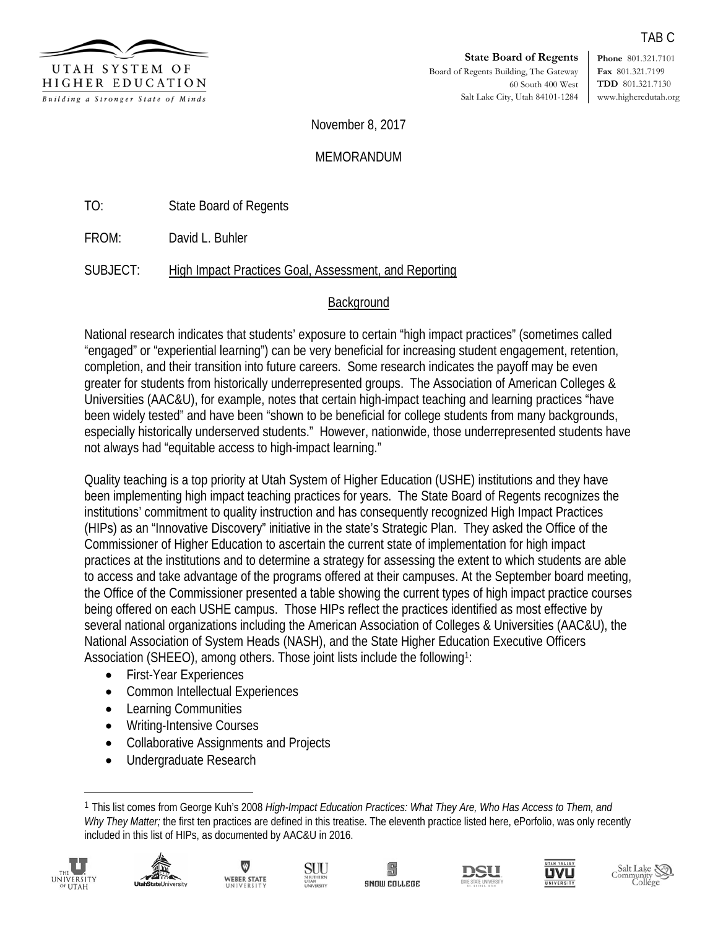

**State Board of Regents** Board of Regents Building, The Gateway 60 South 400 West Salt Lake City, Utah 84101-1284 **Phone** 801.321.7101 **Fax** 801.321.7199 **TDD** 801.321.7130 www.higheredutah.org

TAB C

November 8, 2017

**MEMORANDUM** 

TO: State Board of Regents

FROM: David L. Buhler

SUBJECT: High Impact Practices Goal, Assessment, and Reporting

## **Background**

National research indicates that students' exposure to certain "high impact practices" (sometimes called "engaged" or "experiential learning") can be very beneficial for increasing student engagement, retention, completion, and their transition into future careers. Some research indicates the payoff may be even greater for students from historically underrepresented groups. The Association of American Colleges & Universities (AAC&U), for example, notes that certain high-impact teaching and learning practices "have been widely tested" and have been "shown to be beneficial for college students from many backgrounds, especially historically underserved students." However, nationwide, those underrepresented students have not always had "equitable access to high-impact learning."

Quality teaching is a top priority at Utah System of Higher Education (USHE) institutions and they have been implementing high impact teaching practices for years. The State Board of Regents recognizes the institutions' commitment to quality instruction and has consequently recognized High Impact Practices (HIPs) as an "Innovative Discovery" initiative in the state's Strategic Plan. They asked the Office of the Commissioner of Higher Education to ascertain the current state of implementation for high impact practices at the institutions and to determine a strategy for assessing the extent to which students are able to access and take advantage of the programs offered at their campuses. At the September board meeting, the Office of the Commissioner presented a table showing the current types of high impact practice courses being offered on each USHE campus. Those HIPs reflect the practices identified as most effective by several national organizations including the American Association of Colleges & Universities (AAC&U), the National Association of System Heads (NASH), and the State Higher Education Executive Officers Association (SHEEO), among others. Those joint lists include the following<sup>1</sup>:

- First-Year Experiences
- Common Intellectual Experiences
- Learning Communities
- Writing-Intensive Courses
- Collaborative Assignments and Projects
- Undergraduate Research

<sup>1</sup> This list comes from George Kuh's 2008 *High-Impact Education Practices: What They Are, Who Has Access to Them, and Why They Matter;* the first ten practices are defined in this treatise. The eleventh practice listed here, ePorfolio, was only recently included in this list of HIPs, as documented by AAC&U in 2016.



 $\overline{\phantom{a}}$